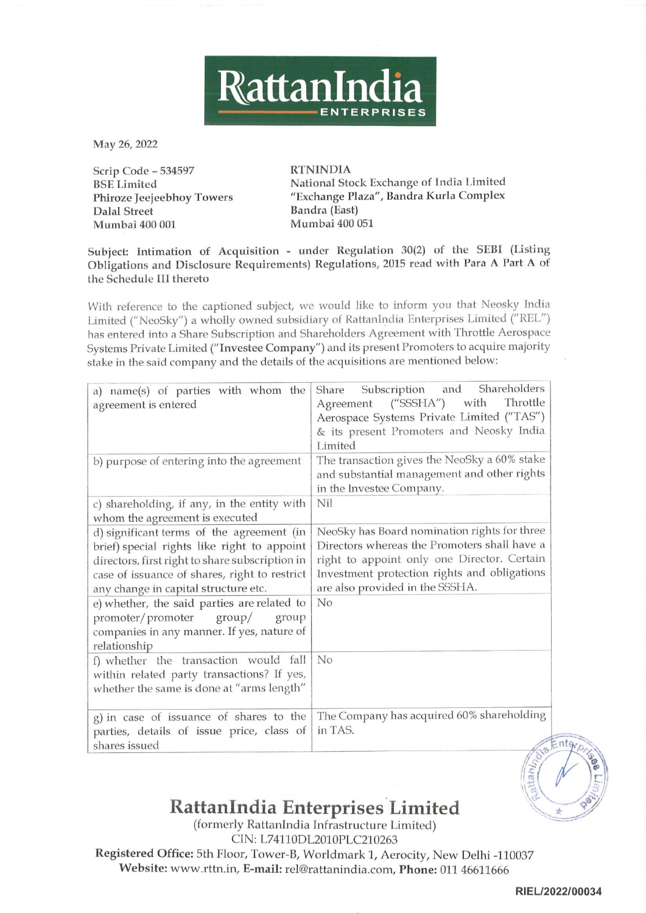

| RattanIndia<br><b>ENTERPRISES</b>                                                                                                                                                                                                                                                                                                                                                                                                                                 |                                                                                                                                                                                                                                |  |
|-------------------------------------------------------------------------------------------------------------------------------------------------------------------------------------------------------------------------------------------------------------------------------------------------------------------------------------------------------------------------------------------------------------------------------------------------------------------|--------------------------------------------------------------------------------------------------------------------------------------------------------------------------------------------------------------------------------|--|
| May 26, 2022                                                                                                                                                                                                                                                                                                                                                                                                                                                      |                                                                                                                                                                                                                                |  |
| Scrip Code - 534597<br><b>BSE</b> Limited<br>Phiroze Jeejeebhoy Towers<br><b>Dalal Street</b><br>Mumbai 400 001                                                                                                                                                                                                                                                                                                                                                   | <b>RTNINDIA</b><br>National Stock Exchange of India Limited<br>"Exchange Plaza", Bandra Kurla Complex<br>Bandra (East)<br>Mumbai 400 051                                                                                       |  |
| Subject: Intimation of Acquisition - under Regulation 30(2) of the SEBI (Listing<br>Obligations and Disclosure Requirements) Regulations, 2015 read with Para A Part A of<br>the Schedule III thereto                                                                                                                                                                                                                                                             |                                                                                                                                                                                                                                |  |
| With reference to the captioned subject, we would like to inform you that Neosky India<br>Limited ("NeoSky") a wholly owned subsidiary of RattanIndia Enterprises Limited ("REL")<br>has entered into a Share Subscription and Shareholders Agreement with Throttle Aerospace<br>Systems Private Limited ("Investee Company") and its present Promoters to acquire majority<br>stake in the said company and the details of the acquisitions are mentioned below: |                                                                                                                                                                                                                                |  |
| a) name(s) of parties with whom the<br>agreement is entered                                                                                                                                                                                                                                                                                                                                                                                                       | Shareholders<br>and<br>Subscription<br>Share<br>Throttle<br>("SSSHA")<br>with<br>Agreement<br>Aerospace Systems Private Limited ("TAS")<br>& its present Promoters and Neosky India<br>Limited                                 |  |
| b) purpose of entering into the agreement                                                                                                                                                                                                                                                                                                                                                                                                                         | The transaction gives the NeoSky a 60% stake<br>and substantial management and other rights<br>in the Investee Company.                                                                                                        |  |
| c) shareholding, if any, in the entity with<br>whom the agreement is executed                                                                                                                                                                                                                                                                                                                                                                                     | Nil                                                                                                                                                                                                                            |  |
| d) significant terms of the agreement (in<br>brief) special rights like right to appoint<br>directors, first right to share subscription in<br>case of issuance of shares, right to restrict<br>any change in capital structure etc.                                                                                                                                                                                                                              | NeoSky has Board nomination rights for three<br>Directors whereas the Promoters shall have a<br>right to appoint only one Director. Certain<br>Investment protection rights and obligations<br>are also provided in the SSSHA. |  |
| e) whether, the said parties are related to<br>promoter/promoter<br>$\gamma$<br>group<br>companies in any manner. If yes, nature of<br>relationship                                                                                                                                                                                                                                                                                                               | No                                                                                                                                                                                                                             |  |
| f) whether the transaction would fall<br>within related party transactions? If yes,<br>whether the same is done at "arms length"                                                                                                                                                                                                                                                                                                                                  | No                                                                                                                                                                                                                             |  |
| g) in case of issuance of shares to the<br>parties, details of issue price, class of<br>shares issued                                                                                                                                                                                                                                                                                                                                                             | The Company has acquired 60% shareholding<br>in TAS.                                                                                                                                                                           |  |

## RattanIndia Enterprises Limited

(formerly RattanIndia Infrastructure Limited) 037<br>RIEL/2022 CIN: L74110DL2010PLC210263 Registered Office: 5th Floor, Tower-B, Worldmark 1, Aerocity, New Delhi -110037 Website: www.rttn.in, E-mail: rel@rattanindia.com, Phone: 011 46611666

RIEL/2022/00034